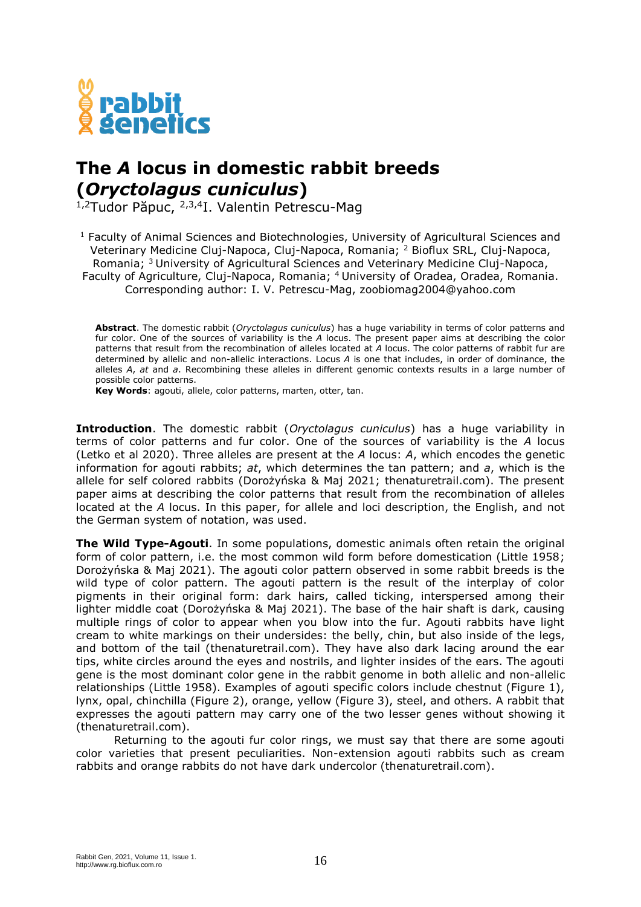

## **The** *A* **locus in domestic rabbit breeds (***Oryctolagus cuniculus***)**

1,2Tudor Păpuc, 2,3,4I. Valentin Petrescu-Mag

<sup>1</sup> Faculty of Animal Sciences and Biotechnologies, University of Agricultural Sciences and Veterinary Medicine Cluj-Napoca, Cluj-Napoca, Romania; <sup>2</sup> Bioflux SRL, Cluj-Napoca, Romania; <sup>3</sup> University of Agricultural Sciences and Veterinary Medicine Cluj-Napoca, Faculty of Agriculture, Cluj-Napoca, Romania; <sup>4</sup> University of Oradea, Oradea, Romania. Corresponding author: I. V. Petrescu-Mag, zoobiomag2004@yahoo.com

**Abstract**. The domestic rabbit (*Oryctolagus cuniculus*) has a huge variability in terms of color patterns and fur color. One of the sources of variability is the *A* locus. The present paper aims at describing the color patterns that result from the recombination of alleles located at *A* locus. The color patterns of rabbit fur are determined by allelic and non-allelic interactions. Locus *A* is one that includes, in order of dominance, the alleles *A*, *at* and *a*. Recombining these alleles in different genomic contexts results in a large number of possible color patterns.

**Key Words**: agouti, allele, color patterns, marten, otter, tan.

**Introduction**. The domestic rabbit (*Oryctolagus cuniculus*) has a huge variability in terms of color patterns and fur color. One of the sources of variability is the *A* locus (Letko et al 2020). Three alleles are present at the *A* locus: *A*, which encodes the genetic information for agouti rabbits; *at*, which determines the tan pattern; and *a*, which is the allele for self colored rabbits (Dorożyńska & Maj 2021; thenaturetrail.com). The present paper aims at describing the color patterns that result from the recombination of alleles located at the *A* locus. In this paper, for allele and loci description, the English, and not the German system of notation, was used.

**The Wild Type-Agouti**. In some populations, domestic animals often retain the original form of color pattern, i.e. the most common wild form before domestication (Little 1958; Dorożyńska & Maj 2021). The agouti color pattern observed in some rabbit breeds is the wild type of color pattern. The agouti pattern is the result of the interplay of color pigments in their original form: dark hairs, called ticking, interspersed among their lighter middle coat (Dorożyńska & Maj 2021). The base of the hair shaft is dark, causing multiple rings of color to appear when you blow into the fur. Agouti rabbits have light cream to white markings on their undersides: the belly, chin, but also inside of the legs, and bottom of the tail (thenaturetrail.com). They have also dark lacing around the ear tips, white circles around the eyes and nostrils, and lighter insides of the ears. The agouti gene is the most dominant color gene in the rabbit genome in both allelic and non-allelic relationships (Little 1958). Examples of agouti specific colors include chestnut (Figure 1), lynx, opal, chinchilla (Figure 2), orange, yellow (Figure 3), steel, and others. A rabbit that expresses the agouti pattern may carry one of the two lesser genes without showing it (thenaturetrail.com).

Returning to the agouti fur color rings, we must say that there are some agouti color varieties that present peculiarities. Non-extension agouti rabbits such as cream rabbits and orange rabbits do not have dark undercolor (thenaturetrail.com).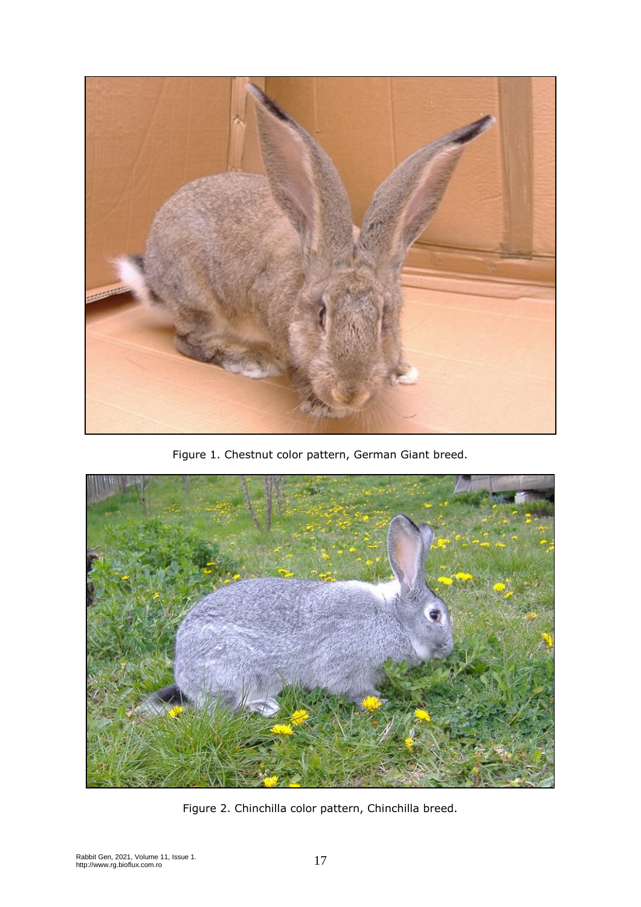

Figure 1. Chestnut color pattern, German Giant breed.



Figure 2. Chinchilla color pattern, Chinchilla breed.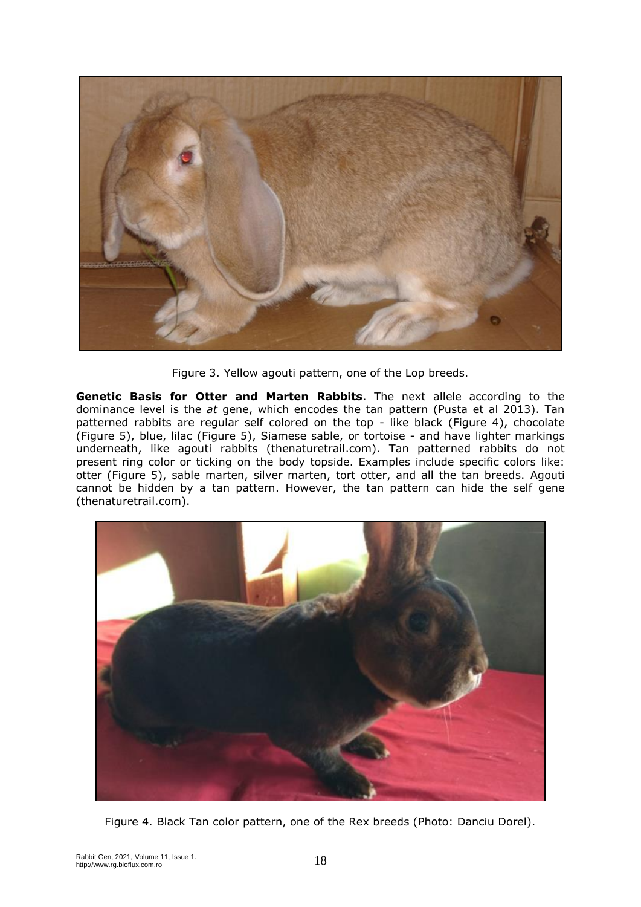

Figure 3. Yellow agouti pattern, one of the Lop breeds.

**Genetic Basis for Otter and Marten Rabbits**. The next allele according to the dominance level is the *at* gene, which encodes the tan pattern (Pusta et al 2013). Tan patterned rabbits are regular self colored on the top - like black (Figure 4), chocolate (Figure 5), blue, lilac (Figure 5), Siamese sable, or tortoise - and have lighter markings underneath, like agouti rabbits (thenaturetrail.com). Tan patterned rabbits do not present ring color or ticking on the body topside. Examples include specific colors like: otter (Figure 5), sable marten, silver marten, tort otter, and all the tan breeds. Agouti cannot be hidden by a tan pattern. However, the tan pattern can hide the self gene (thenaturetrail.com).



Figure 4. Black Tan color pattern, one of the Rex breeds (Photo: Danciu Dorel).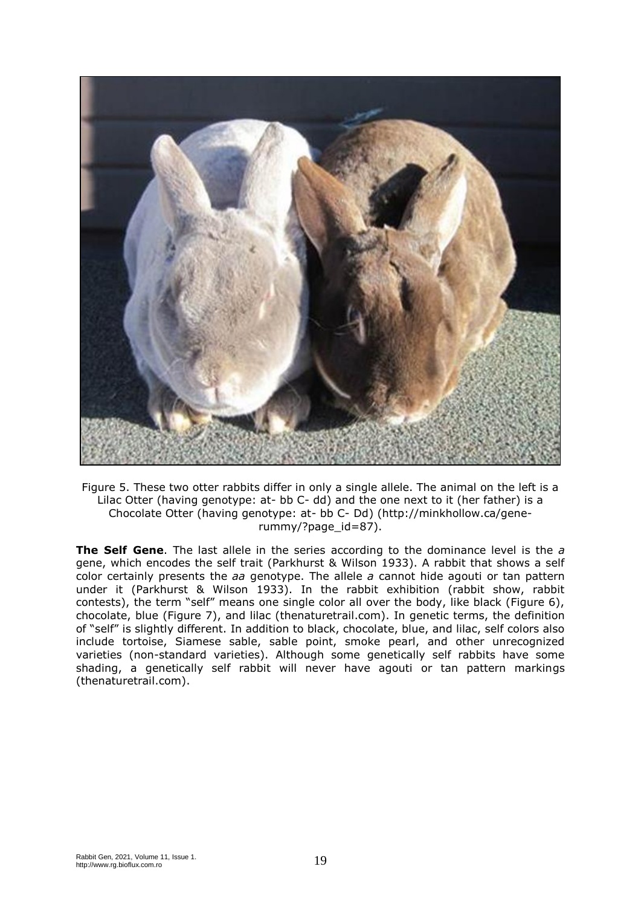

Figure 5. These two otter rabbits differ in only a single allele. The animal on the left is a Lilac Otter (having genotype: at- bb C- dd) and the one next to it (her father) is a Chocolate Otter (having genotype: at- bb C- Dd) (http://minkhollow.ca/generummy/?page\_id=87).

**The Self Gene**. The last allele in the series according to the dominance level is the *a* gene, which encodes the self trait (Parkhurst & Wilson 1933). A rabbit that shows a self color certainly presents the *aa* genotype. The allele *a* cannot hide agouti or tan pattern under it (Parkhurst & Wilson 1933). In the rabbit exhibition (rabbit show, rabbit contests), the term "self" means one single color all over the body, like black (Figure 6), chocolate, blue (Figure 7), and lilac (thenaturetrail.com). In genetic terms, the definition of "self" is slightly different. In addition to black, chocolate, blue, and lilac, self colors also include tortoise, Siamese sable, sable point, smoke pearl, and other unrecognized varieties (non-standard varieties). Although some genetically self rabbits have some shading, a genetically self rabbit will never have agouti or tan pattern markings (thenaturetrail.com).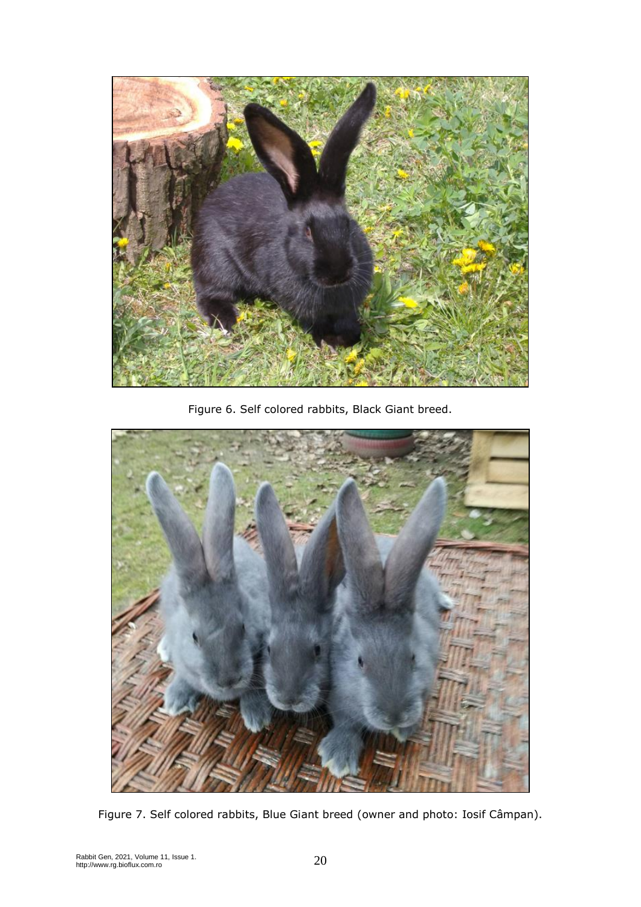

Figure 6. Self colored rabbits, Black Giant breed.



Figure 7. Self colored rabbits, Blue Giant breed (owner and photo: Iosif Câmpan).